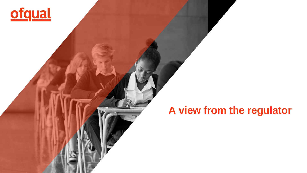

**Peacock Butterfly** 

# **A view from the regulator**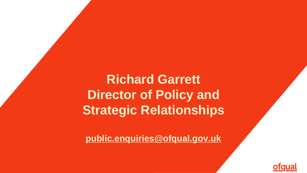**Richard Garrett Director of Policy and Strategic Relationships**

**[public.enquiries@ofqual.gov.uk](mailto:public.enquiries@ofqual.gov.uk)**

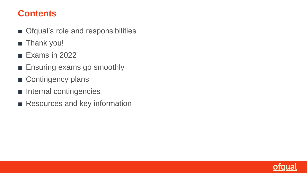# **Contents**

- Ofqual's role and responsibilities
- Thank you!
- Exams in 2022
- Ensuring exams go smoothly
- Contingency plans
- Internal contingencies
- Resources and key information

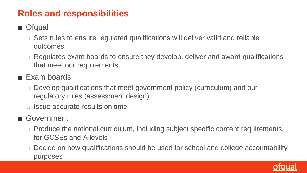# **Roles and responsibilities**

- Ofqual
	- $\Box$  Sets rules to ensure regulated qualifications will deliver valid and reliable outcomes
	- □ Regulates exam boards to ensure they develop, deliver and award qualifications that meet our requirements
- Exam boards
	- □ Develop qualifications that meet government policy (curriculum) and our regulatory rules (assessment design)
	- $\Box$  Issue accurate results on time
- Government
	- □ Produce the national curriculum, including subject specific content requirements for GCSEs and A levels
	- □ Decide on how qualifications should be used for school and college accountability purposes

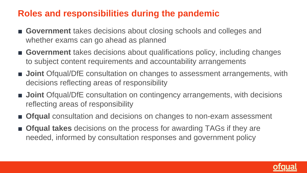# **Roles and responsibilities during the pandemic**

- Government takes decisions about closing schools and colleges and whether exams can go ahead as planned
- Government takes decisions about qualifications policy, including changes to subject content requirements and accountability arrangements
- **Joint** Ofqual/DfE consultation on changes to assessment arrangements, with decisions reflecting areas of responsibility
- **Joint** Ofqual/DfE consultation on contingency arrangements, with decisions reflecting areas of responsibility
- **Ofqual** consultation and decisions on changes to non-exam assessment
- **Ofqual takes** decisions on the process for awarding TAGs if they are needed, informed by consultation responses and government policy

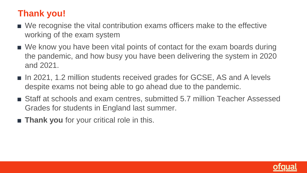# **Thank you!**

- We recognise the vital contribution exams officers make to the effective working of the exam system
- We know you have been vital points of contact for the exam boards during the pandemic, and how busy you have been delivering the system in 2020 and 2021.
- In 2021, 1.2 million students received grades for GCSE, AS and A levels despite exams not being able to go ahead due to the pandemic.
- Staff at schools and exam centres, submitted 5.7 million Teacher Assessed Grades for students in England last summer.
- **Thank you** for your critical role in this.

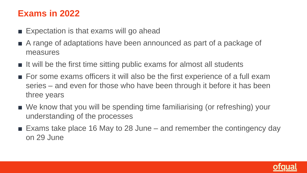# **Exams in 2022**

- $\blacksquare$  Expectation is that exams will go ahead
- A range of adaptations have been announced as part of a package of measures
- It will be the first time sitting public exams for almost all students
- For some exams officers it will also be the first experience of a full exam series – and even for those who have been through it before it has been three years
- We know that you will be spending time familiarising (or refreshing) your understanding of the processes
- $\blacksquare$  Exams take place 16 May to 28 June and remember the contingency day on 29 June

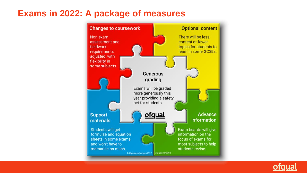### **Exams in 2022: A package of measures**



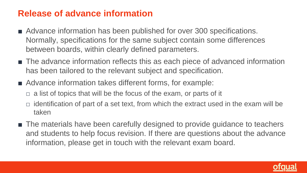# **Release of advance information**

- Advance information has been published for over 300 specifications. Normally, specifications for the same subject contain some differences between boards, within clearly defined parameters.
- The advance information reflects this as each piece of advanced information has been tailored to the relevant subject and specification.
- Advance information takes different forms, for example:
	- $\Box$  a list of topics that will be the focus of the exam, or parts of it
	- $\Box$  identification of part of a set text, from which the extract used in the exam will be taken
- The materials have been carefully designed to provide guidance to teachers and students to help focus revision. If there are questions about the advance information, please get in touch with the relevant exam board.

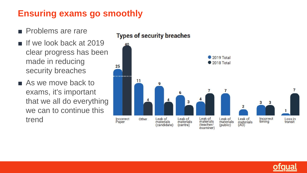# **Ensuring exams go smoothly**

- Problems are rare
- If we look back at 2019 clear progress has been made in reducing security breaches
- As we move back to exams, it's important that we all do everything we can to continue this trend



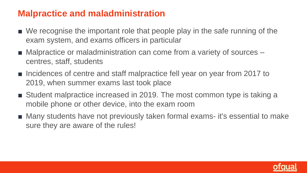# **Malpractice and maladministration**

- We recognise the important role that people play in the safe running of the exam system, and exams officers in particular
- Malpractice or maladministration can come from a variety of sources centres, staff, students
- Incidences of centre and staff malpractice fell year on year from 2017 to 2019, when summer exams last took place
- Student malpractice increased in 2019. The most common type is taking a mobile phone or other device, into the exam room
- Many students have not previously taken formal exams- it's essential to make sure they are aware of the rules!

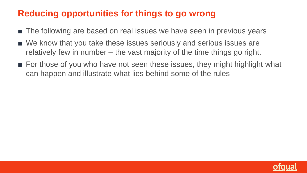# **Reducing opportunities for things to go wrong**

- The following are based on real issues we have seen in previous years
- We know that you take these issues seriously and serious issues are relatively few in number – the vast majority of the time things go right.
- For those of you who have not seen these issues, they might highlight what can happen and illustrate what lies behind some of the rules

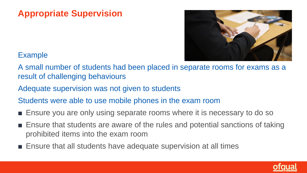# **Appropriate Supervision**



#### Example

A small number of students had been placed in separate rooms for exams as a result of challenging behaviours

Adequate supervision was not given to students

Students were able to use mobile phones in the exam room

- Ensure you are only using separate rooms where it is necessary to do so
- Ensure that students are aware of the rules and potential sanctions of taking prohibited items into the exam room
- Ensure that all students have adequate supervision at all times

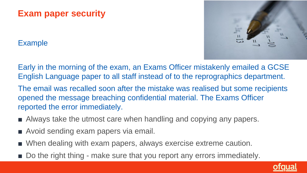# **Exam paper security**

#### Example



Early in the morning of the exam, an Exams Officer mistakenly emailed a GCSE English Language paper to all staff instead of to the reprographics department.

The email was recalled soon after the mistake was realised but some recipients opened the message breaching confidential material. The Exams Officer reported the error immediately.

- Always take the utmost care when handling and copying any papers.
- Avoid sending exam papers via email.
- When dealing with exam papers, always exercise extreme caution.
- Do the right thing make sure that you report any errors immediately.

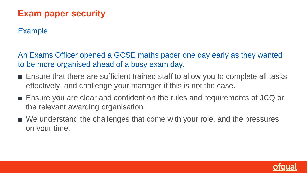# **Exam paper security**

#### Example

An Exams Officer opened a GCSE maths paper one day early as they wanted to be more organised ahead of a busy exam day.

- Ensure that there are sufficient trained staff to allow you to complete all tasks effectively, and challenge your manager if this is not the case.
- Ensure you are clear and confident on the rules and requirements of JCQ or the relevant awarding organisation.
- We understand the challenges that come with your role, and the pressures on your time.

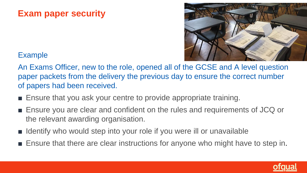# **Exam paper security**



#### Example

An Exams Officer, new to the role, opened all of the GCSE and A level question paper packets from the delivery the previous day to ensure the correct number of papers had been received.

- Ensure that you ask your centre to provide appropriate training.
- Ensure you are clear and confident on the rules and requirements of JCQ or the relevant awarding organisation.
- Identify who would step into your role if you were ill or unavailable
- Ensure that there are clear instructions for anyone who might have to step in.

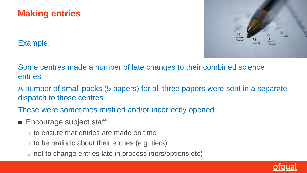



Example:

Some centres made a number of late changes to their combined science entries

- A number of small packs (5 papers) for all three papers were sent in a separate dispatch to those centres
- These were sometimes misfiled and/or incorrectly opened
- Encourage subject staff:
	- $\Box$  to ensure that entries are made on time
	- $\Box$  to be realistic about their entries (e.g. tiers)
	- $\Box$  not to change entries late in process (tiers/options etc)

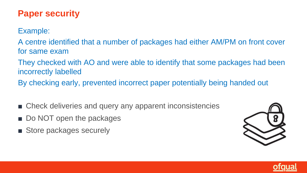# **Paper security**

Example:

A centre identified that a number of packages had either AM/PM on front cover for same exam

They checked with AO and were able to identify that some packages had been incorrectly labelled

By checking early, prevented incorrect paper potentially being handed out

- Check deliveries and query any apparent inconsistencies
- Do NOT open the packages
- Store packages securely



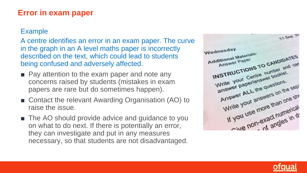#### **Error in exam paper**

#### Example

A centre identifies an error in an exam paper. The curve in the graph in an A level maths paper is incorrectly described on the text, which could lead to students being confused and adversely affected.

- Pay attention to the exam paper and note any concerns raised by students (mistakes in exam papers are rare but do sometimes happen).
- Contact the relevant Awarding Organisation (AO) to raise the issue.
- The AO should provide advice and guidance to you on what to do next. If there is potentially an error, they can investigate and put in any measures necessary, so that students are not disadvantaged.



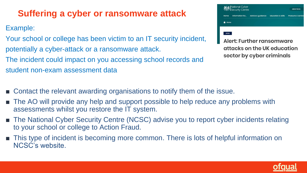# **Suffering a cyber or ransomware attack**

Example:

Your school or college has been victim to an IT security incident, potentially a cyber-attack or a ransomware attack. The incident could impact on you accessing school records and student non-exam assessment data



attacks on the UK education sector by cyber criminals

- Contact the relevant awarding organisations to notify them of the issue.
- The AO will provide any help and support possible to help reduce any problems with assessments whilst you restore the IT system.
- The National Cyber Security Centre (NCSC) advise you to report cyber incidents relating to your school or college to Action Fraud.
- This type of incident is becoming more common. There is lots of helpful information on NCSC's website.

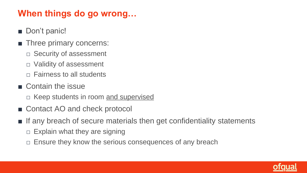# **When things do go wrong…**

- Don't panic!
- Three primary concerns:
	- □ Security of assessment
	- □ Validity of assessment
	- $\Box$  Fairness to all students
- Contain the issue
	- □ Keep students in room and supervised
- Contact AO and check protocol
- If any breach of secure materials then get confidentiality statements
	- $\Box$  Explain what they are signing
	- $\Box$  Ensure they know the serious consequences of any breach

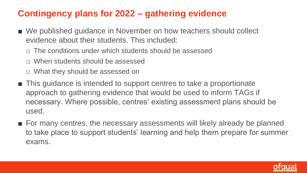# **Contingency plans for 2022 – gathering evidence**

- We published guidance in November on how teachers should collect evidence about their students. This included:
	- □ The conditions under which students should be assessed
	- □ When students should be assessed
	- □ What they should be assessed on
- This guidance is intended to support centres to take a proportionate approach to gathering evidence that would be used to inform TAGs if necessary. Where possible, centres' existing assessment plans should be used.
- For many centres, the necessary assessments will likely already be planned to take place to support students' learning and help them prepare for summer exams.

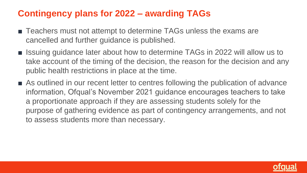# **Contingency plans for 2022 – awarding TAGs**

- Teachers must not attempt to determine TAGs unless the exams are cancelled and further guidance is published.
- Issuing guidance later about how to determine TAGs in 2022 will allow us to take account of the timing of the decision, the reason for the decision and any public health restrictions in place at the time.
- As outlined in our recent letter to centres following the publication of advance information, Ofqual's November 2021 guidance encourages teachers to take a proportionate approach if they are assessing students solely for the purpose of gathering evidence as part of contingency arrangements, and not to assess students more than necessary.

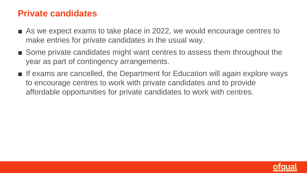### **Private candidates**

- As we expect exams to take place in 2022, we would encourage centres to make entries for private candidates in the usual way.
- Some private candidates might want centres to assess them throughout the year as part of contingency arrangements.
- If exams are cancelled, the Department for Education will again explore ways to encourage centres to work with private candidates and to provide affordable opportunities for private candidates to work with centres.

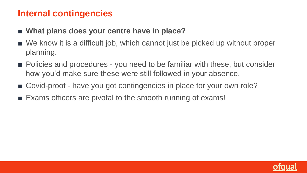### **Internal contingencies**

- What plans does your centre have in place?
- We know it is a difficult job, which cannot just be picked up without proper planning.
- Policies and procedures you need to be familiar with these, but consider how you'd make sure these were still followed in your absence.
- Covid-proof have you got contingencies in place for your own role?
- Exams officers are pivotal to the smooth running of exams!

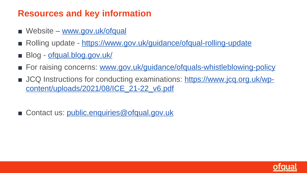# **Resources and key information**

- Website [www.gov.uk/ofqual](http://www.gov.uk/ofqual)
- Rolling update <https://www.gov.uk/guidance/ofqual-rolling-update>
- Blog [ofqual.blog.gov.uk/](https://ofqual.blog.gov.uk/)
- For raising concerns: [www.gov.uk/guidance/ofquals-whistleblowing-policy](https://www.gov.uk/guidance/ofquals-whistleblowing-policy)
- [JCQ Instructions for conducting examinations: https://www.jcq.org.uk/wp](https://www.jcq.org.uk/wp-content/uploads/2021/08/ICE_21-22_v6.pdf)content/uploads/2021/08/ICE\_21-22\_v6.pdf
- Contact us: [public.enquiries@ofqual.gov.uk](mailto:public.enquiries@ofqual.gov.uk)